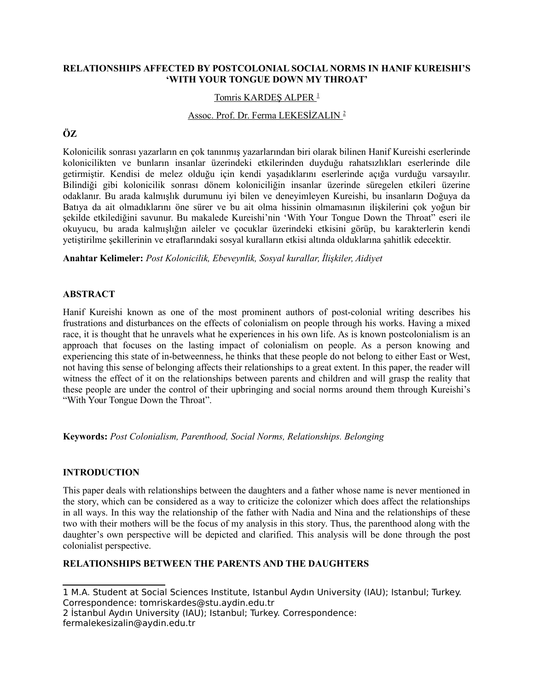# **RELATIONSHIPS AFFECTED BY POSTCOLONIAL SOCIAL NORMS IN HANIF KUREISHI'S 'WITH YOUR TONGUE DOWN MY THROAT'**

### Tomris KARDEŞ ALPER<sup>[1](#page-0-0)</sup>

# Assoc. Prof. Dr. Ferma LEKESİZALIN [2](#page-0-1)

# **ÖZ**

Kolonicilik sonrası yazarların en çok tanınmış yazarlarından biri olarak bilinen Hanif Kureishi eserlerinde kolonicilikten ve bunların insanlar üzerindeki etkilerinden duyduğu rahatsızlıkları eserlerinde dile getirmiştir. Kendisi de melez olduğu için kendi yaşadıklarını eserlerinde açığa vurduğu varsayılır. Bilindiği gibi kolonicilik sonrası dönem koloniciliğin insanlar üzerinde süregelen etkileri üzerine odaklanır. Bu arada kalmışlık durumunu iyi bilen ve deneyimleyen Kureishi, bu insanların Doğuya da Batıya da ait olmadıklarını öne sürer ve bu ait olma hissinin olmamasının ilişkilerini çok yoğun bir şekilde etkilediğini savunur. Bu makalede Kureishi'nin 'With Your Tongue Down the Throat" eseri ile okuyucu, bu arada kalmışlığın aileler ve çocuklar üzerindeki etkisini görüp, bu karakterlerin kendi yetiştirilme şekillerinin ve etraflarındaki sosyal kuralların etkisi altında olduklarına şahitlik edecektir.

**Anahtar Kelimeler:** *Post Kolonicilik, Ebeveynlik, Sosyal kurallar, İlişkiler, Aidiyet*

### **ABSTRACT**

Hanif Kureishi known as one of the most prominent authors of post-colonial writing describes his frustrations and disturbances on the effects of colonialism on people through his works. Having a mixed race, it is thought that he unravels what he experiences in his own life. As is known postcolonialism is an approach that focuses on the lasting impact of colonialism on people. As a person knowing and experiencing this state of in-betweenness, he thinks that these people do not belong to either East or West, not having this sense of belonging affects their relationships to a great extent. In this paper, the reader will witness the effect of it on the relationships between parents and children and will grasp the reality that these people are under the control of their upbringing and social norms around them through Kureishi's "With Your Tongue Down the Throat".

**Keywords:** *Post Colonialism, Parenthood, Social Norms, Relationships. Belonging*

# **INTRODUCTION**

This paper deals with relationships between the daughters and a father whose name is never mentioned in the story, which can be considered as a way to criticize the colonizer which does affect the relationships in all ways. In this way the relationship of the father with Nadia and Nina and the relationships of these two with their mothers will be the focus of my analysis in this story. Thus, the parenthood along with the daughter's own perspective will be depicted and clarified. This analysis will be done through the post colonialist perspective.

# **RELATIONSHIPS BETWEEN THE PARENTS AND THE DAUGHTERS**

<span id="page-0-0"></span>1 M.A. Student at Social Sciences Institute, Istanbul Aydın University (IAU); Istanbul; Turkey. Correspondence: tomriskardes@stu.aydin.edu.tr

<span id="page-0-1"></span>2 İstanbul Aydın University (IAU); Istanbul; Turkey. Correspondence: fermalekesizalin@aydin.edu.tr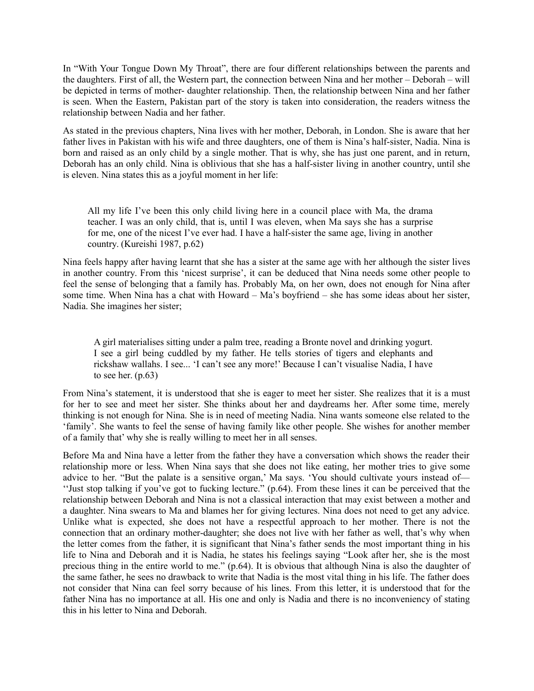In "With Your Tongue Down My Throat", there are four different relationships between the parents and the daughters. First of all, the Western part, the connection between Nina and her mother – Deborah – will be depicted in terms of mother- daughter relationship. Then, the relationship between Nina and her father is seen. When the Eastern, Pakistan part of the story is taken into consideration, the readers witness the relationship between Nadia and her father.

As stated in the previous chapters, Nina lives with her mother, Deborah, in London. She is aware that her father lives in Pakistan with his wife and three daughters, one of them is Nina's half-sister, Nadia. Nina is born and raised as an only child by a single mother. That is why, she has just one parent, and in return, Deborah has an only child. Nina is oblivious that she has a half-sister living in another country, until she is eleven. Nina states this as a joyful moment in her life:

All my life I've been this only child living here in a council place with Ma, the drama teacher. I was an only child, that is, until I was eleven, when Ma says she has a surprise for me, one of the nicest I've ever had. I have a half-sister the same age, living in another country. (Kureishi 1987, p.62)

Nina feels happy after having learnt that she has a sister at the same age with her although the sister lives in another country. From this 'nicest surprise', it can be deduced that Nina needs some other people to feel the sense of belonging that a family has. Probably Ma, on her own, does not enough for Nina after some time. When Nina has a chat with Howard – Ma's boyfriend – she has some ideas about her sister, Nadia. She imagines her sister;

A girl materialises sitting under a palm tree, reading a Bronte novel and drinking yogurt. I see a girl being cuddled by my father. He tells stories of tigers and elephants and rickshaw wallahs. I see... 'I can't see any more!' Because I can't visualise Nadia, I have to see her.  $(p.63)$ 

From Nina's statement, it is understood that she is eager to meet her sister. She realizes that it is a must for her to see and meet her sister. She thinks about her and daydreams her. After some time, merely thinking is not enough for Nina. She is in need of meeting Nadia. Nina wants someone else related to the 'family'. She wants to feel the sense of having family like other people. She wishes for another member of a family that' why she is really willing to meet her in all senses.

Before Ma and Nina have a letter from the father they have a conversation which shows the reader their relationship more or less. When Nina says that she does not like eating, her mother tries to give some advice to her. "But the palate is a sensitive organ,' Ma says. 'You should cultivate yours instead of— ''Just stop talking if you've got to fucking lecture." (p.64). From these lines it can be perceived that the relationship between Deborah and Nina is not a classical interaction that may exist between a mother and a daughter. Nina swears to Ma and blames her for giving lectures. Nina does not need to get any advice. Unlike what is expected, she does not have a respectful approach to her mother. There is not the connection that an ordinary mother-daughter; she does not live with her father as well, that's why when the letter comes from the father, it is significant that Nina's father sends the most important thing in his life to Nina and Deborah and it is Nadia, he states his feelings saying "Look after her, she is the most precious thing in the entire world to me." (p.64). It is obvious that although Nina is also the daughter of the same father, he sees no drawback to write that Nadia is the most vital thing in his life. The father does not consider that Nina can feel sorry because of his lines. From this letter, it is understood that for the father Nina has no importance at all. His one and only is Nadia and there is no inconveniency of stating this in his letter to Nina and Deborah.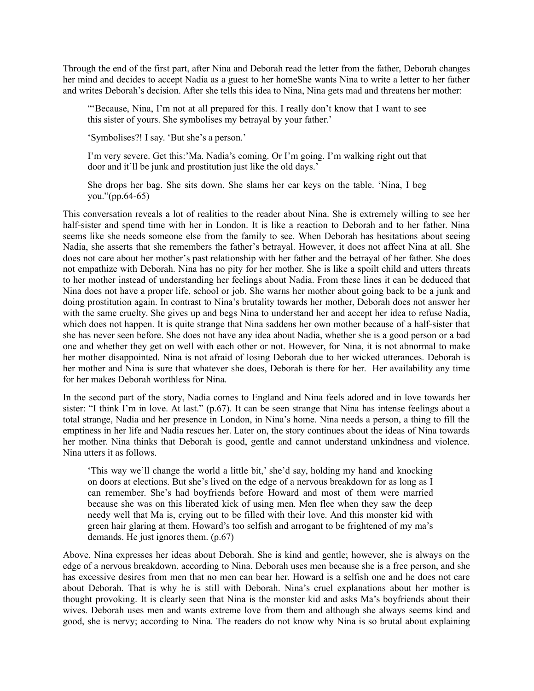Through the end of the first part, after Nina and Deborah read the letter from the father, Deborah changes her mind and decides to accept Nadia as a guest to her homeShe wants Nina to write a letter to her father and writes Deborah's decision. After she tells this idea to Nina, Nina gets mad and threatens her mother:

"'Because, Nina, I'm not at all prepared for this. I really don't know that I want to see this sister of yours. She symbolises my betrayal by your father.'

'Symbolises?! I say. 'But she's a person.'

I'm very severe. Get this:'Ma. Nadia's coming. Or I'm going. I'm walking right out that door and it'll be junk and prostitution just like the old days.'

She drops her bag. She sits down. She slams her car keys on the table. 'Nina, I beg you."(pp.64-65)

This conversation reveals a lot of realities to the reader about Nina. She is extremely willing to see her half-sister and spend time with her in London. It is like a reaction to Deborah and to her father. Nina seems like she needs someone else from the family to see. When Deborah has hesitations about seeing Nadia, she asserts that she remembers the father's betrayal. However, it does not affect Nina at all. She does not care about her mother's past relationship with her father and the betrayal of her father. She does not empathize with Deborah. Nina has no pity for her mother. She is like a spoilt child and utters threats to her mother instead of understanding her feelings about Nadia. From these lines it can be deduced that Nina does not have a proper life, school or job. She warns her mother about going back to be a junk and doing prostitution again. In contrast to Nina's brutality towards her mother, Deborah does not answer her with the same cruelty. She gives up and begs Nina to understand her and accept her idea to refuse Nadia, which does not happen. It is quite strange that Nina saddens her own mother because of a half-sister that she has never seen before. She does not have any idea about Nadia, whether she is a good person or a bad one and whether they get on well with each other or not. However, for Nina, it is not abnormal to make her mother disappointed. Nina is not afraid of losing Deborah due to her wicked utterances. Deborah is her mother and Nina is sure that whatever she does, Deborah is there for her. Her availability any time for her makes Deborah worthless for Nina.

In the second part of the story, Nadia comes to England and Nina feels adored and in love towards her sister: "I think I'm in love. At last." (p.67). It can be seen strange that Nina has intense feelings about a total strange, Nadia and her presence in London, in Nina's home. Nina needs a person, a thing to fill the emptiness in her life and Nadia rescues her. Later on, the story continues about the ideas of Nina towards her mother. Nina thinks that Deborah is good, gentle and cannot understand unkindness and violence. Nina utters it as follows.

'This way we'll change the world a little bit,' she'd say, holding my hand and knocking on doors at elections. But she's lived on the edge of a nervous breakdown for as long as I can remember. She's had boyfriends before Howard and most of them were married because she was on this liberated kick of using men. Men flee when they saw the deep needy well that Ma is, crying out to be filled with their love. And this monster kid with green hair glaring at them. Howard's too selfish and arrogant to be frightened of my ma's demands. He just ignores them. (p.67)

Above, Nina expresses her ideas about Deborah. She is kind and gentle; however, she is always on the edge of a nervous breakdown, according to Nina. Deborah uses men because she is a free person, and she has excessive desires from men that no men can bear her. Howard is a selfish one and he does not care about Deborah. That is why he is still with Deborah. Nina's cruel explanations about her mother is thought provoking. It is clearly seen that Nina is the monster kid and asks Ma's boyfriends about their wives. Deborah uses men and wants extreme love from them and although she always seems kind and good, she is nervy; according to Nina. The readers do not know why Nina is so brutal about explaining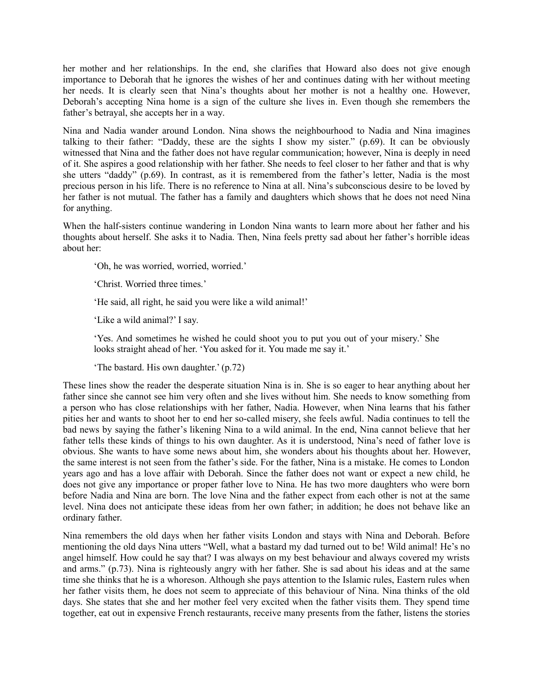her mother and her relationships. In the end, she clarifies that Howard also does not give enough importance to Deborah that he ignores the wishes of her and continues dating with her without meeting her needs. It is clearly seen that Nina's thoughts about her mother is not a healthy one. However, Deborah's accepting Nina home is a sign of the culture she lives in. Even though she remembers the father's betrayal, she accepts her in a way.

Nina and Nadia wander around London. Nina shows the neighbourhood to Nadia and Nina imagines talking to their father: "Daddy, these are the sights I show my sister." (p.69). It can be obviously witnessed that Nina and the father does not have regular communication; however, Nina is deeply in need of it. She aspires a good relationship with her father. She needs to feel closer to her father and that is why she utters "daddy" (p.69). In contrast, as it is remembered from the father's letter, Nadia is the most precious person in his life. There is no reference to Nina at all. Nina's subconscious desire to be loved by her father is not mutual. The father has a family and daughters which shows that he does not need Nina for anything.

When the half-sisters continue wandering in London Nina wants to learn more about her father and his thoughts about herself. She asks it to Nadia. Then, Nina feels pretty sad about her father's horrible ideas about her:

'Oh, he was worried, worried, worried.'

'Christ. Worried three times.'

'He said, all right, he said you were like a wild animal!'

'Like a wild animal?' I say.

'Yes. And sometimes he wished he could shoot you to put you out of your misery.' She looks straight ahead of her. 'You asked for it. You made me say it.'

'The bastard. His own daughter.' (p.72)

These lines show the reader the desperate situation Nina is in. She is so eager to hear anything about her father since she cannot see him very often and she lives without him. She needs to know something from a person who has close relationships with her father, Nadia. However, when Nina learns that his father pities her and wants to shoot her to end her so-called misery, she feels awful. Nadia continues to tell the bad news by saying the father's likening Nina to a wild animal. In the end, Nina cannot believe that her father tells these kinds of things to his own daughter. As it is understood, Nina's need of father love is obvious. She wants to have some news about him, she wonders about his thoughts about her. However, the same interest is not seen from the father's side. For the father, Nina is a mistake. He comes to London years ago and has a love affair with Deborah. Since the father does not want or expect a new child, he does not give any importance or proper father love to Nina. He has two more daughters who were born before Nadia and Nina are born. The love Nina and the father expect from each other is not at the same level. Nina does not anticipate these ideas from her own father; in addition; he does not behave like an ordinary father.

Nina remembers the old days when her father visits London and stays with Nina and Deborah. Before mentioning the old days Nina utters "Well, what a bastard my dad turned out to be! Wild animal! He's no angel himself. How could he say that? I was always on my best behaviour and always covered my wrists and arms." (p.73). Nina is righteously angry with her father. She is sad about his ideas and at the same time she thinks that he is a whoreson. Although she pays attention to the Islamic rules, Eastern rules when her father visits them, he does not seem to appreciate of this behaviour of Nina. Nina thinks of the old days. She states that she and her mother feel very excited when the father visits them. They spend time together, eat out in expensive French restaurants, receive many presents from the father, listens the stories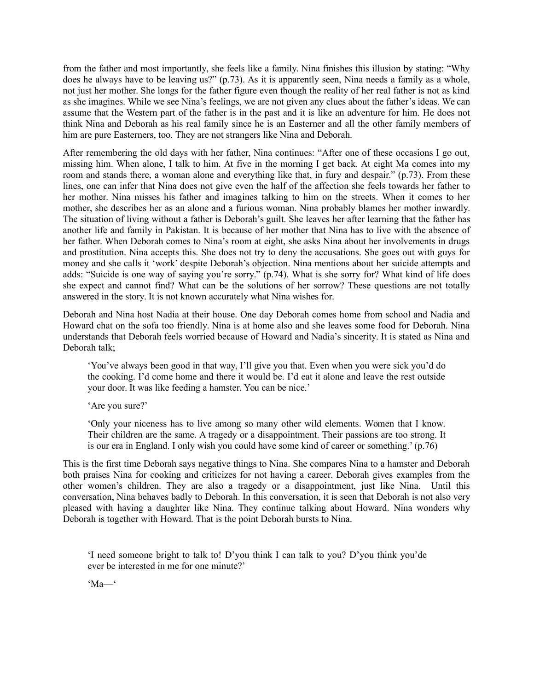from the father and most importantly, she feels like a family. Nina finishes this illusion by stating: "Why does he always have to be leaving us?" (p.73). As it is apparently seen, Nina needs a family as a whole, not just her mother. She longs for the father figure even though the reality of her real father is not as kind as she imagines. While we see Nina's feelings, we are not given any clues about the father's ideas. We can assume that the Western part of the father is in the past and it is like an adventure for him. He does not think Nina and Deborah as his real family since he is an Easterner and all the other family members of him are pure Easterners, too. They are not strangers like Nina and Deborah.

After remembering the old days with her father, Nina continues: "After one of these occasions I go out, missing him. When alone, I talk to him. At five in the morning I get back. At eight Ma comes into my room and stands there, a woman alone and everything like that, in fury and despair." (p.73). From these lines, one can infer that Nina does not give even the half of the affection she feels towards her father to her mother. Nina misses his father and imagines talking to him on the streets. When it comes to her mother, she describes her as an alone and a furious woman. Nina probably blames her mother inwardly. The situation of living without a father is Deborah's guilt. She leaves her after learning that the father has another life and family in Pakistan. It is because of her mother that Nina has to live with the absence of her father. When Deborah comes to Nina's room at eight, she asks Nina about her involvements in drugs and prostitution. Nina accepts this. She does not try to deny the accusations. She goes out with guys for money and she calls it 'work' despite Deborah's objection. Nina mentions about her suicide attempts and adds: "Suicide is one way of saying you're sorry." (p.74). What is she sorry for? What kind of life does she expect and cannot find? What can be the solutions of her sorrow? These questions are not totally answered in the story. It is not known accurately what Nina wishes for.

Deborah and Nina host Nadia at their house. One day Deborah comes home from school and Nadia and Howard chat on the sofa too friendly. Nina is at home also and she leaves some food for Deborah. Nina understands that Deborah feels worried because of Howard and Nadia's sincerity. It is stated as Nina and Deborah talk;

'You've always been good in that way, I'll give you that. Even when you were sick you'd do the cooking. I'd come home and there it would be. I'd eat it alone and leave the rest outside your door. It was like feeding a hamster. You can be nice.'

'Are you sure?'

'Only your niceness has to live among so many other wild elements. Women that I know. Their children are the same. A tragedy or a disappointment. Their passions are too strong. It is our era in England. I only wish you could have some kind of career or something.' (p.76)

This is the first time Deborah says negative things to Nina. She compares Nina to a hamster and Deborah both praises Nina for cooking and criticizes for not having a career. Deborah gives examples from the other women's children. They are also a tragedy or a disappointment, just like Nina. Until this conversation, Nina behaves badly to Deborah. In this conversation, it is seen that Deborah is not also very pleased with having a daughter like Nina. They continue talking about Howard. Nina wonders why Deborah is together with Howard. That is the point Deborah bursts to Nina.

'I need someone bright to talk to! D'you think I can talk to you? D'you think you'de ever be interested in me for one minute?'

'Ma—'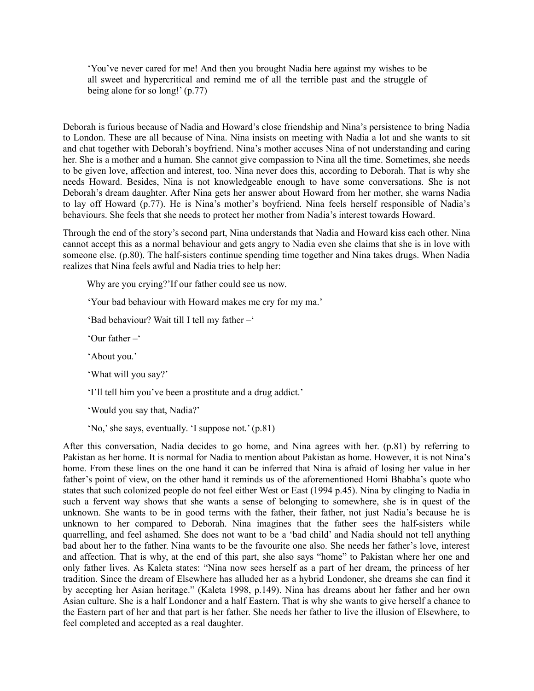'You've never cared for me! And then you brought Nadia here against my wishes to be all sweet and hypercritical and remind me of all the terrible past and the struggle of being alone for so long!' (p.77)

Deborah is furious because of Nadia and Howard's close friendship and Nina's persistence to bring Nadia to London. These are all because of Nina. Nina insists on meeting with Nadia a lot and she wants to sit and chat together with Deborah's boyfriend. Nina's mother accuses Nina of not understanding and caring her. She is a mother and a human. She cannot give compassion to Nina all the time. Sometimes, she needs to be given love, affection and interest, too. Nina never does this, according to Deborah. That is why she needs Howard. Besides, Nina is not knowledgeable enough to have some conversations. She is not Deborah's dream daughter. After Nina gets her answer about Howard from her mother, she warns Nadia to lay off Howard (p.77). He is Nina's mother's boyfriend. Nina feels herself responsible of Nadia's behaviours. She feels that she needs to protect her mother from Nadia's interest towards Howard.

Through the end of the story's second part, Nina understands that Nadia and Howard kiss each other. Nina cannot accept this as a normal behaviour and gets angry to Nadia even she claims that she is in love with someone else. (p.80). The half-sisters continue spending time together and Nina takes drugs. When Nadia realizes that Nina feels awful and Nadia tries to help her:

Why are you crying?'If our father could see us now.

'Your bad behaviour with Howard makes me cry for my ma.'

'Bad behaviour? Wait till I tell my father –'

'Our father –'

'About you.'

'What will you say?'

'I'll tell him you've been a prostitute and a drug addict.'

'Would you say that, Nadia?'

'No,' she says, eventually. 'I suppose not.' (p.81)

After this conversation, Nadia decides to go home, and Nina agrees with her. (p.81) by referring to Pakistan as her home. It is normal for Nadia to mention about Pakistan as home. However, it is not Nina's home. From these lines on the one hand it can be inferred that Nina is afraid of losing her value in her father's point of view, on the other hand it reminds us of the aforementioned Homi Bhabha's quote who states that such colonized people do not feel either West or East (1994 p.45). Nina by clinging to Nadia in such a fervent way shows that she wants a sense of belonging to somewhere, she is in quest of the unknown. She wants to be in good terms with the father, their father, not just Nadia's because he is unknown to her compared to Deborah. Nina imagines that the father sees the half-sisters while quarrelling, and feel ashamed. She does not want to be a 'bad child' and Nadia should not tell anything bad about her to the father. Nina wants to be the favourite one also. She needs her father's love, interest and affection. That is why, at the end of this part, she also says "home" to Pakistan where her one and only father lives. As Kaleta states: "Nina now sees herself as a part of her dream, the princess of her tradition. Since the dream of Elsewhere has alluded her as a hybrid Londoner, she dreams she can find it by accepting her Asian heritage." (Kaleta 1998, p.149). Nina has dreams about her father and her own Asian culture. She is a half Londoner and a half Eastern. That is why she wants to give herself a chance to the Eastern part of her and that part is her father. She needs her father to live the illusion of Elsewhere, to feel completed and accepted as a real daughter.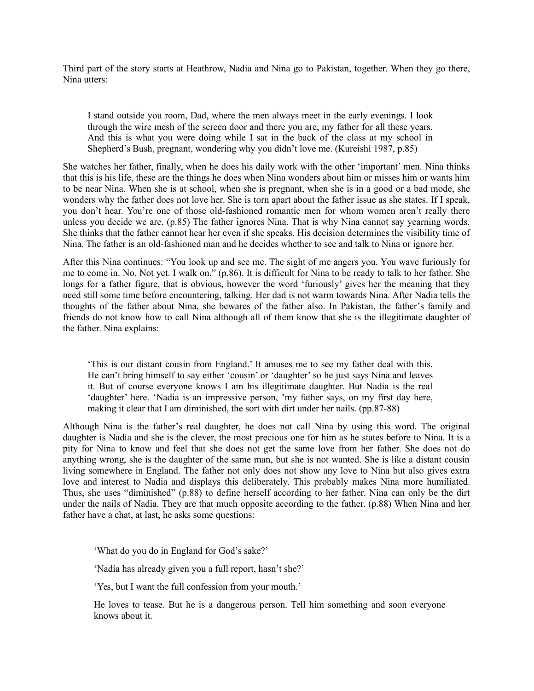Third part of the story starts at Heathrow, Nadia and Nina go to Pakistan, together. When they go there, Nina utters:

I stand outside you room, Dad, where the men always meet in the early evenings. I look through the wire mesh of the screen door and there you are, my father for all these years. And this is what you were doing while I sat in the back of the class at my school in Shepherd's Bush, pregnant, wondering why you didn't love me. (Kureishi 1987, p.85)

She watches her father, finally, when he does his daily work with the other 'important' men. Nina thinks that this is his life, these are the things he does when Nina wonders about him or misses him or wants him to be near Nina. When she is at school, when she is pregnant, when she is in a good or a bad mode, she wonders why the father does not love her. She is torn apart about the father issue as she states. If I speak, you don't hear. You're one of those old-fashioned romantic men for whom women aren't really there unless you decide we are. (p.85) The father ignores Nina. That is why Nina cannot say yearning words. She thinks that the father cannot hear her even if she speaks. His decision determines the visibility time of Nina. The father is an old-fashioned man and he decides whether to see and talk to Nina or ignore her.

After this Nina continues: "You look up and see me. The sight of me angers you. You wave furiously for me to come in. No. Not yet. I walk on." (p.86). It is difficult for Nina to be ready to talk to her father. She longs for a father figure, that is obvious, however the word 'furiously' gives her the meaning that they need still some time before encountering, talking. Her dad is not warm towards Nina. After Nadia tells the thoughts of the father about Nina, she bewares of the father also. In Pakistan, the father's family and friends do not know how to call Nina although all of them know that she is the illegitimate daughter of the father. Nina explains:

'This is our distant cousin from England.' It amuses me to see my father deal with this. He can't bring himself to say either 'cousin' or 'daughter' so he just says Nina and leaves it. But of course everyone knows I am his illegitimate daughter. But Nadia is the real 'daughter' here. 'Nadia is an impressive person, 'my father says, on my first day here, making it clear that I am diminished, the sort with dirt under her nails. (pp.87-88)

Although Nina is the father's real daughter, he does not call Nina by using this word. The original daughter is Nadia and she is the clever, the most precious one for him as he states before to Nina. It is a pity for Nina to know and feel that she does not get the same love from her father. She does not do anything wrong, she is the daughter of the same man, but she is not wanted. She is like a distant cousin living somewhere in England. The father not only does not show any love to Nina but also gives extra love and interest to Nadia and displays this deliberately. This probably makes Nina more humiliated. Thus, she uses "diminished" (p.88) to define herself according to her father. Nina can only be the dirt under the nails of Nadia. They are that much opposite according to the father. (p.88) When Nina and her father have a chat, at last, he asks some questions:

'What do you do in England for God's sake?'

'Nadia has already given you a full report, hasn't she?'

'Yes, but I want the full confession from your mouth.'

He loves to tease. But he is a dangerous person. Tell him something and soon everyone knows about it.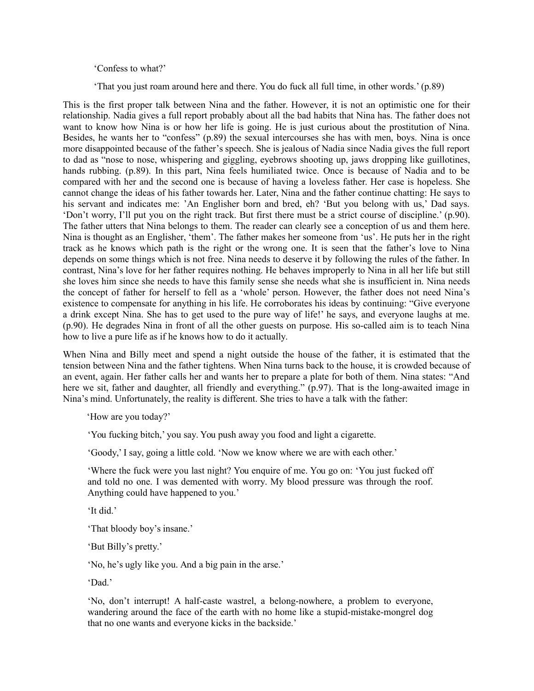#### 'Confess to what?'

'That you just roam around here and there. You do fuck all full time, in other words.' (p.89)

This is the first proper talk between Nina and the father. However, it is not an optimistic one for their relationship. Nadia gives a full report probably about all the bad habits that Nina has. The father does not want to know how Nina is or how her life is going. He is just curious about the prostitution of Nina. Besides, he wants her to "confess" (p.89) the sexual intercourses she has with men, boys. Nina is once more disappointed because of the father's speech. She is jealous of Nadia since Nadia gives the full report to dad as "nose to nose, whispering and giggling, eyebrows shooting up, jaws dropping like guillotines, hands rubbing. (p.89). In this part, Nina feels humiliated twice. Once is because of Nadia and to be compared with her and the second one is because of having a loveless father. Her case is hopeless. She cannot change the ideas of his father towards her. Later, Nina and the father continue chatting: He says to his servant and indicates me: 'An Englisher born and bred, eh? 'But you belong with us,' Dad says. 'Don't worry, I'll put you on the right track. But first there must be a strict course of discipline.' (p.90). The father utters that Nina belongs to them. The reader can clearly see a conception of us and them here. Nina is thought as an Englisher, 'them'. The father makes her someone from 'us'. He puts her in the right track as he knows which path is the right or the wrong one. It is seen that the father's love to Nina depends on some things which is not free. Nina needs to deserve it by following the rules of the father. In contrast, Nina's love for her father requires nothing. He behaves improperly to Nina in all her life but still she loves him since she needs to have this family sense she needs what she is insufficient in. Nina needs the concept of father for herself to fell as a 'whole' person. However, the father does not need Nina's existence to compensate for anything in his life. He corroborates his ideas by continuing: "Give everyone a drink except Nina. She has to get used to the pure way of life!' he says, and everyone laughs at me. (p.90). He degrades Nina in front of all the other guests on purpose. His so-called aim is to teach Nina how to live a pure life as if he knows how to do it actually.

When Nina and Billy meet and spend a night outside the house of the father, it is estimated that the tension between Nina and the father tightens. When Nina turns back to the house, it is crowded because of an event, again. Her father calls her and wants her to prepare a plate for both of them. Nina states: "And here we sit, father and daughter, all friendly and everything." (p.97). That is the long-awaited image in Nina's mind. Unfortunately, the reality is different. She tries to have a talk with the father:

'How are you today?'

'You fucking bitch,' you say. You push away you food and light a cigarette.

'Goody,' I say, going a little cold. 'Now we know where we are with each other.'

'Where the fuck were you last night? You enquire of me. You go on: 'You just fucked off and told no one. I was demented with worry. My blood pressure was through the roof. Anything could have happened to you.'

'It did.'

'That bloody boy's insane.'

'But Billy's pretty.'

'No, he's ugly like you. And a big pain in the arse.'

'Dad.'

'No, don't interrupt! A half-caste wastrel, a belong-nowhere, a problem to everyone, wandering around the face of the earth with no home like a stupid-mistake-mongrel dog that no one wants and everyone kicks in the backside.'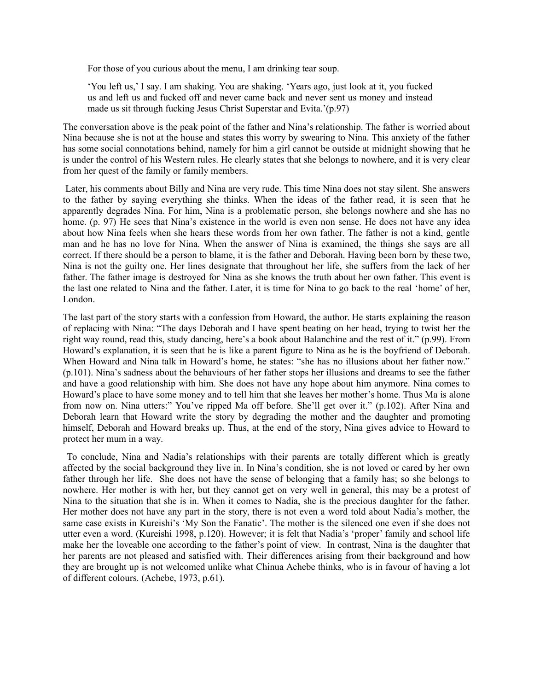For those of you curious about the menu, I am drinking tear soup.

'You left us,' I say. I am shaking. You are shaking. 'Years ago, just look at it, you fucked us and left us and fucked off and never came back and never sent us money and instead made us sit through fucking Jesus Christ Superstar and Evita.'(p.97)

The conversation above is the peak point of the father and Nina's relationship. The father is worried about Nina because she is not at the house and states this worry by swearing to Nina. This anxiety of the father has some social connotations behind, namely for him a girl cannot be outside at midnight showing that he is under the control of his Western rules. He clearly states that she belongs to nowhere, and it is very clear from her quest of the family or family members.

 Later, his comments about Billy and Nina are very rude. This time Nina does not stay silent. She answers to the father by saying everything she thinks. When the ideas of the father read, it is seen that he apparently degrades Nina. For him, Nina is a problematic person, she belongs nowhere and she has no home. (p. 97) He sees that Nina's existence in the world is even non sense. He does not have any idea about how Nina feels when she hears these words from her own father. The father is not a kind, gentle man and he has no love for Nina. When the answer of Nina is examined, the things she says are all correct. If there should be a person to blame, it is the father and Deborah. Having been born by these two, Nina is not the guilty one. Her lines designate that throughout her life, she suffers from the lack of her father. The father image is destroyed for Nina as she knows the truth about her own father. This event is the last one related to Nina and the father. Later, it is time for Nina to go back to the real 'home' of her, London.

The last part of the story starts with a confession from Howard, the author. He starts explaining the reason of replacing with Nina: "The days Deborah and I have spent beating on her head, trying to twist her the right way round, read this, study dancing, here's a book about Balanchine and the rest of it." (p.99). From Howard's explanation, it is seen that he is like a parent figure to Nina as he is the boyfriend of Deborah. When Howard and Nina talk in Howard's home, he states: "she has no illusions about her father now." (p.101). Nina's sadness about the behaviours of her father stops her illusions and dreams to see the father and have a good relationship with him. She does not have any hope about him anymore. Nina comes to Howard's place to have some money and to tell him that she leaves her mother's home. Thus Ma is alone from now on. Nina utters:" You've ripped Ma off before. She'll get over it." (p.102). After Nina and Deborah learn that Howard write the story by degrading the mother and the daughter and promoting himself, Deborah and Howard breaks up. Thus, at the end of the story, Nina gives advice to Howard to protect her mum in a way.

 To conclude, Nina and Nadia's relationships with their parents are totally different which is greatly affected by the social background they live in. In Nina's condition, she is not loved or cared by her own father through her life. She does not have the sense of belonging that a family has; so she belongs to nowhere. Her mother is with her, but they cannot get on very well in general, this may be a protest of Nina to the situation that she is in. When it comes to Nadia, she is the precious daughter for the father. Her mother does not have any part in the story, there is not even a word told about Nadia's mother, the same case exists in Kureishi's 'My Son the Fanatic'. The mother is the silenced one even if she does not utter even a word. (Kureishi 1998, p.120). However; it is felt that Nadia's 'proper' family and school life make her the loveable one according to the father's point of view. In contrast, Nina is the daughter that her parents are not pleased and satisfied with. Their differences arising from their background and how they are brought up is not welcomed unlike what Chinua Achebe thinks, who is in favour of having a lot of different colours. (Achebe, 1973, p.61).